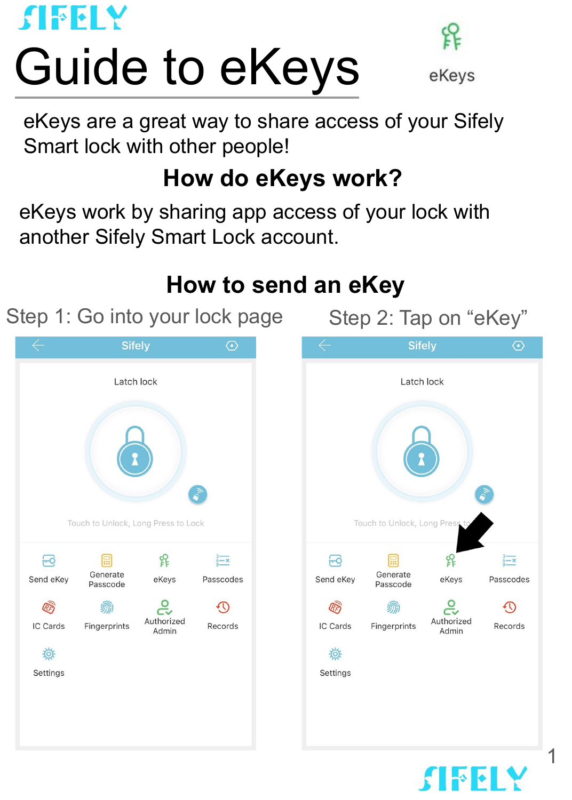

# Guide to eKeys



eKevs

eKeys are a great way to share access of your Sifely Smart lock with other people!

# **How do eKeys work?**

eKeys work by sharing app access of your lock with another Sifely Smart Lock account.

# **How to send an eKey**

Step 1: Go into your lock page Step 2: Tap on "eKey"

 $\mathbf{F}$ 

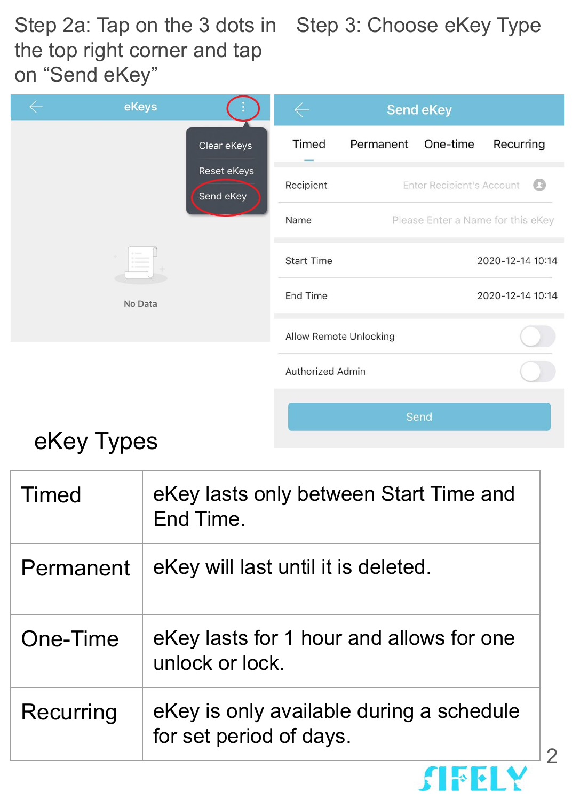Step 2a: Tap on the 3 dots in Step 3: Choose eKey Type the top right corner and tap on "Send eKey"

|         | eKeys |                          | <b>Send eKey</b>  |           |                                  |                                   |
|---------|-------|--------------------------|-------------------|-----------|----------------------------------|-----------------------------------|
|         |       | Clear eKeys              | Timed             | Permanent | One-time                         | Recurring                         |
|         |       | Reset eKeys<br>Send eKey | Recipient         |           | <b>Enter Recipient's Account</b> |                                   |
|         |       |                          | Name              |           |                                  | Please Enter a Name for this eKey |
| No Data |       |                          | <b>Start Time</b> |           |                                  | 2020-12-14 10:14                  |
|         |       |                          | End Time          |           |                                  | 2020-12-14 10:14                  |
|         |       | Allow Remote Unlocking   |                   |           |                                  |                                   |
|         |       |                          | Authorized Admin  |           |                                  |                                   |
|         |       |                          |                   |           | Cond                             |                                   |

# eKey Types

| Timed     | eKey lasts only between Start Time and<br>End Time.                 |
|-----------|---------------------------------------------------------------------|
| Permanent | eKey will last until it is deleted.                                 |
| One-Time  | eKey lasts for 1 hour and allows for one<br>unlock or lock.         |
| Recurring | eKey is only available during a schedule<br>for set period of days. |

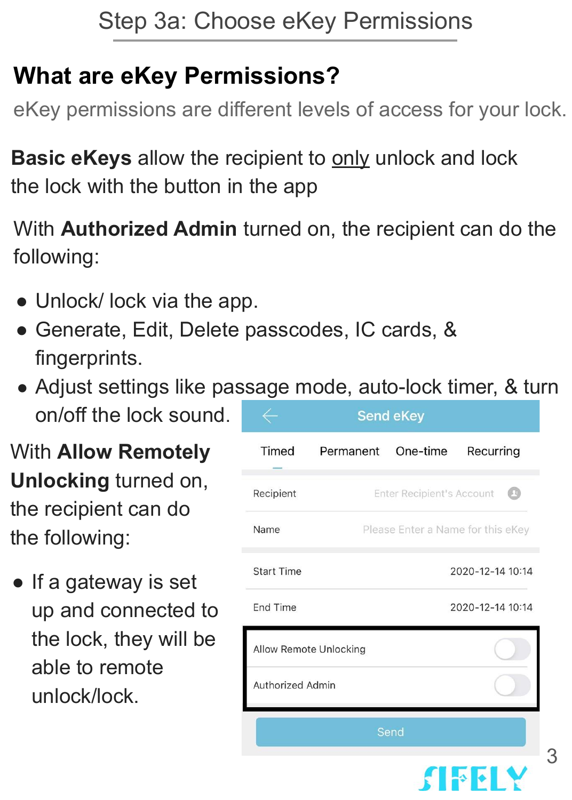# **What are eKey Permissions?**

eKey permissions are different levels of access for your lock.

**Basic eKeys** allow the recipient to only unlock and lock the lock with the button in the app

With **Authorized Admin** turned on, the recipient can do the following:

- Unlock/ lock via the app.
- Generate, Edit, Delete passcodes, IC cards, & fingerprints.
- Adjust settings like passage mode, auto-lock timer, & turn on/off the lock sound. **Send eKey**

With **Allow Remotely Unlocking** turned on, the recipient can do the following:

• If a gateway is set up and connected to the lock, they will be able to remote unlock/lock.

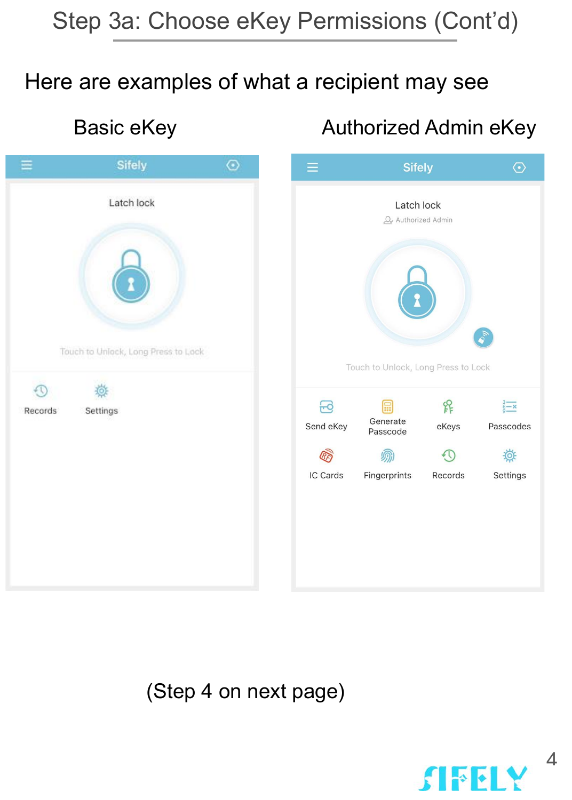# Step 3a: Choose eKey Permissions (Cont'd)

### Here are examples of what a recipient may see

|         | Sifely                                                        | $\odot$ |                             |
|---------|---------------------------------------------------------------|---------|-----------------------------|
| Records | Latch lock<br>Touch to Unlock, Long Press to Lock<br>Settings |         | Touch<br>$\Xi$<br>Send eKey |
|         |                                                               |         | IC Cards<br>F               |

### Basic eKey **Authorized Admin eKey**



(Step 4 on next page)

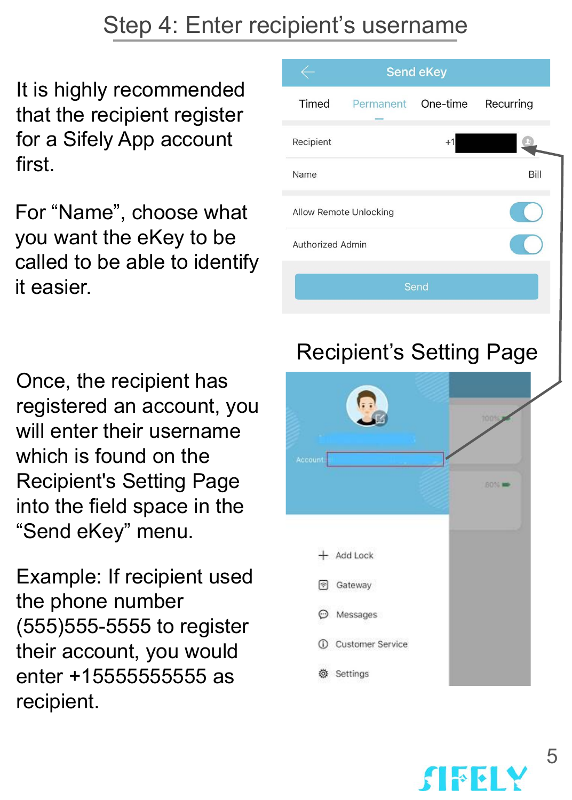# Step 4: Enter recipient's username

It is highly recommended that the recipient register for a Sifely App account first.

For "Name", choose what you want the eKey to be called to be able to identify it easier.

Once, the recipient has registered an account, you will enter their username which is found on the Recipient's Setting Page into the field space in the "Send eKey" menu.

Example: If recipient used the phone number (555)555-5555 to register their account, you would enter +15555555555 as recipient.



![](_page_4_Picture_6.jpeg)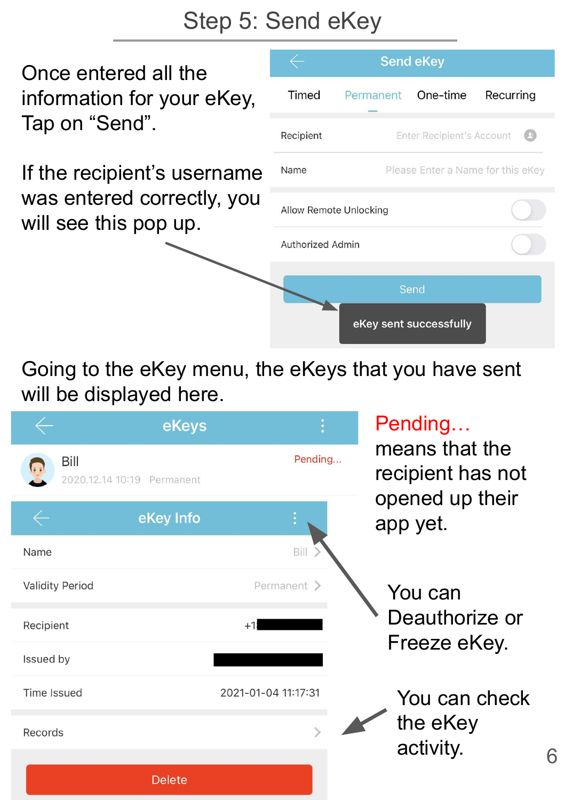# Step 5: Send eKey

Once entered all the information for your eKey, Tap on "Send".

If the recipient's username was entered correctly, you will see this pop up.

|                        |                                   | <b>Send eKey</b>                 |           |
|------------------------|-----------------------------------|----------------------------------|-----------|
| Timed                  | Permanent One-time                |                                  | Recurring |
| Recipient              |                                   | <b>Enter Recipient's Account</b> |           |
| Name                   | Please Enter a Name for this eKey |                                  |           |
| Allow Remote Unlocking |                                   |                                  |           |
| Authorized Admin       |                                   |                                  |           |
|                        |                                   | Send                             |           |
|                        |                                   | eKey sent successfully           |           |

6

Going to the eKey menu, the eKeys that you have sent will be displayed here.

|                        | eKeys                      |                     | Pending                                                |
|------------------------|----------------------------|---------------------|--------------------------------------------------------|
| Bill                   | 2020.12.14 10:19 Permanent | Pending             | means that the<br>recipient has not<br>opened up their |
|                        | eKey Info                  |                     | app yet.                                               |
| Name                   |                            | Bill                |                                                        |
| <b>Validity Period</b> |                            | Permanent >         | You can                                                |
| Recipient              |                            | $+1$                | Deauthorize or<br>Freeze eKey.                         |
| Issued by              |                            |                     |                                                        |
| <b>Time Issued</b>     |                            | 2021-01-04 11:17:31 | You can check                                          |
| Records                |                            |                     | the eKey<br>activity.                                  |
|                        |                            |                     |                                                        |
|                        | <b>Delete</b>              |                     |                                                        |